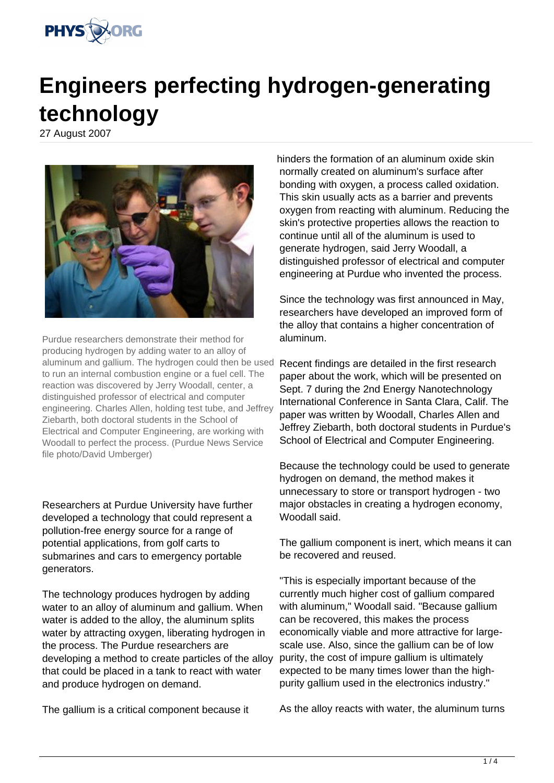

## **Engineers perfecting hydrogen-generating technology**

27 August 2007



Purdue researchers demonstrate their method for producing hydrogen by adding water to an alloy of aluminum and gallium. The hydrogen could then be used to run an internal combustion engine or a fuel cell. The reaction was discovered by Jerry Woodall, center, a distinguished professor of electrical and computer engineering. Charles Allen, holding test tube, and Jeffrey Ziebarth, both doctoral students in the School of Electrical and Computer Engineering, are working with Woodall to perfect the process. (Purdue News Service file photo/David Umberger)

Researchers at Purdue University have further developed a technology that could represent a pollution-free energy source for a range of potential applications, from golf carts to submarines and cars to emergency portable generators.

The technology produces hydrogen by adding water to an alloy of aluminum and gallium. When water is added to the alloy, the aluminum splits water by attracting oxygen, liberating hydrogen in the process. The Purdue researchers are developing a method to create particles of the alloy that could be placed in a tank to react with water and produce hydrogen on demand.

The gallium is a critical component because it

hinders the formation of an aluminum oxide skin normally created on aluminum's surface after bonding with oxygen, a process called oxidation. This skin usually acts as a barrier and prevents oxygen from reacting with aluminum. Reducing the skin's protective properties allows the reaction to continue until all of the aluminum is used to generate hydrogen, said Jerry Woodall, a distinguished professor of electrical and computer engineering at Purdue who invented the process.

Since the technology was first announced in May, researchers have developed an improved form of the alloy that contains a higher concentration of aluminum.

Recent findings are detailed in the first research paper about the work, which will be presented on Sept. 7 during the 2nd Energy Nanotechnology International Conference in Santa Clara, Calif. The paper was written by Woodall, Charles Allen and Jeffrey Ziebarth, both doctoral students in Purdue's School of Electrical and Computer Engineering.

Because the technology could be used to generate hydrogen on demand, the method makes it unnecessary to store or transport hydrogen - two major obstacles in creating a hydrogen economy, Woodall said.

The gallium component is inert, which means it can be recovered and reused.

"This is especially important because of the currently much higher cost of gallium compared with aluminum," Woodall said. "Because gallium can be recovered, this makes the process economically viable and more attractive for largescale use. Also, since the gallium can be of low purity, the cost of impure gallium is ultimately expected to be many times lower than the highpurity gallium used in the electronics industry."

As the alloy reacts with water, the aluminum turns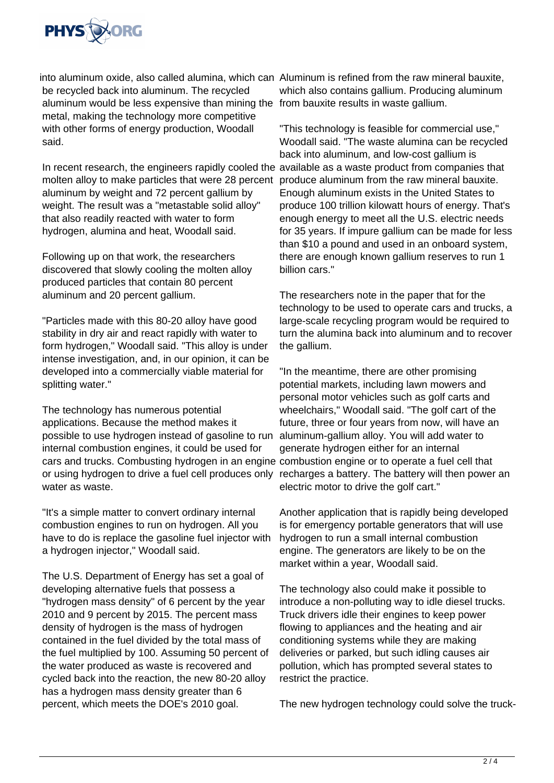

into aluminum oxide, also called alumina, which can Aluminum is refined from the raw mineral bauxite, be recycled back into aluminum. The recycled aluminum would be less expensive than mining the from bauxite results in waste gallium. metal, making the technology more competitive with other forms of energy production, Woodall said.

In recent research, the engineers rapidly cooled the available as a waste product from companies that molten alloy to make particles that were 28 percent aluminum by weight and 72 percent gallium by weight. The result was a "metastable solid alloy" that also readily reacted with water to form hydrogen, alumina and heat, Woodall said.

Following up on that work, the researchers discovered that slowly cooling the molten alloy produced particles that contain 80 percent aluminum and 20 percent gallium.

"Particles made with this 80-20 alloy have good stability in dry air and react rapidly with water to form hydrogen," Woodall said. "This alloy is under intense investigation, and, in our opinion, it can be developed into a commercially viable material for splitting water."

The technology has numerous potential applications. Because the method makes it possible to use hydrogen instead of gasoline to run internal combustion engines, it could be used for cars and trucks. Combusting hydrogen in an engine combustion engine or to operate a fuel cell that or using hydrogen to drive a fuel cell produces only recharges a battery. The battery will then power an water as waste.

"It's a simple matter to convert ordinary internal combustion engines to run on hydrogen. All you have to do is replace the gasoline fuel injector with a hydrogen injector," Woodall said.

The U.S. Department of Energy has set a goal of developing alternative fuels that possess a "hydrogen mass density" of 6 percent by the year 2010 and 9 percent by 2015. The percent mass density of hydrogen is the mass of hydrogen contained in the fuel divided by the total mass of the fuel multiplied by 100. Assuming 50 percent of the water produced as waste is recovered and cycled back into the reaction, the new 80-20 alloy has a hydrogen mass density greater than 6 percent, which meets the DOE's 2010 goal.

which also contains gallium. Producing aluminum

"This technology is feasible for commercial use," Woodall said. "The waste alumina can be recycled back into aluminum, and low-cost gallium is produce aluminum from the raw mineral bauxite. Enough aluminum exists in the United States to produce 100 trillion kilowatt hours of energy. That's enough energy to meet all the U.S. electric needs for 35 years. If impure gallium can be made for less than \$10 a pound and used in an onboard system, there are enough known gallium reserves to run 1 billion cars."

The researchers note in the paper that for the technology to be used to operate cars and trucks, a large-scale recycling program would be required to turn the alumina back into aluminum and to recover the gallium.

"In the meantime, there are other promising potential markets, including lawn mowers and personal motor vehicles such as golf carts and wheelchairs," Woodall said. "The golf cart of the future, three or four years from now, will have an aluminum-gallium alloy. You will add water to generate hydrogen either for an internal electric motor to drive the golf cart."

Another application that is rapidly being developed is for emergency portable generators that will use hydrogen to run a small internal combustion engine. The generators are likely to be on the market within a year, Woodall said.

The technology also could make it possible to introduce a non-polluting way to idle diesel trucks. Truck drivers idle their engines to keep power flowing to appliances and the heating and air conditioning systems while they are making deliveries or parked, but such idling causes air pollution, which has prompted several states to restrict the practice.

The new hydrogen technology could solve the truck-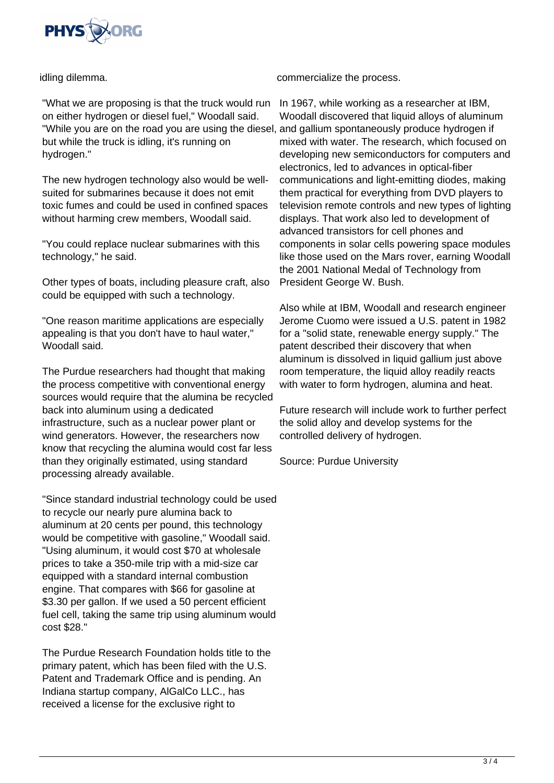

idling dilemma.

"What we are proposing is that the truck would run on either hydrogen or diesel fuel," Woodall said. "While you are on the road you are using the diesel, and gallium spontaneously produce hydrogen if but while the truck is idling, it's running on hydrogen."

The new hydrogen technology also would be wellsuited for submarines because it does not emit toxic fumes and could be used in confined spaces without harming crew members, Woodall said.

"You could replace nuclear submarines with this technology," he said.

Other types of boats, including pleasure craft, also could be equipped with such a technology.

"One reason maritime applications are especially appealing is that you don't have to haul water," Woodall said.

The Purdue researchers had thought that making the process competitive with conventional energy sources would require that the alumina be recycled back into aluminum using a dedicated infrastructure, such as a nuclear power plant or wind generators. However, the researchers now know that recycling the alumina would cost far less than they originally estimated, using standard processing already available.

"Since standard industrial technology could be used to recycle our nearly pure alumina back to aluminum at 20 cents per pound, this technology would be competitive with gasoline," Woodall said. "Using aluminum, it would cost \$70 at wholesale prices to take a 350-mile trip with a mid-size car equipped with a standard internal combustion engine. That compares with \$66 for gasoline at \$3.30 per gallon. If we used a 50 percent efficient fuel cell, taking the same trip using aluminum would cost \$28."

The Purdue Research Foundation holds title to the primary patent, which has been filed with the U.S. Patent and Trademark Office and is pending. An Indiana startup company, AlGalCo LLC., has received a license for the exclusive right to

commercialize the process.

In 1967, while working as a researcher at IBM, Woodall discovered that liquid alloys of aluminum mixed with water. The research, which focused on developing new semiconductors for computers and electronics, led to advances in optical-fiber communications and light-emitting diodes, making them practical for everything from DVD players to television remote controls and new types of lighting displays. That work also led to development of advanced transistors for cell phones and components in solar cells powering space modules like those used on the Mars rover, earning Woodall the 2001 National Medal of Technology from President George W. Bush.

Also while at IBM, Woodall and research engineer Jerome Cuomo were issued a U.S. patent in 1982 for a "solid state, renewable energy supply." The patent described their discovery that when aluminum is dissolved in liquid gallium just above room temperature, the liquid alloy readily reacts with water to form hydrogen, alumina and heat.

Future research will include work to further perfect the solid alloy and develop systems for the controlled delivery of hydrogen.

Source: Purdue University